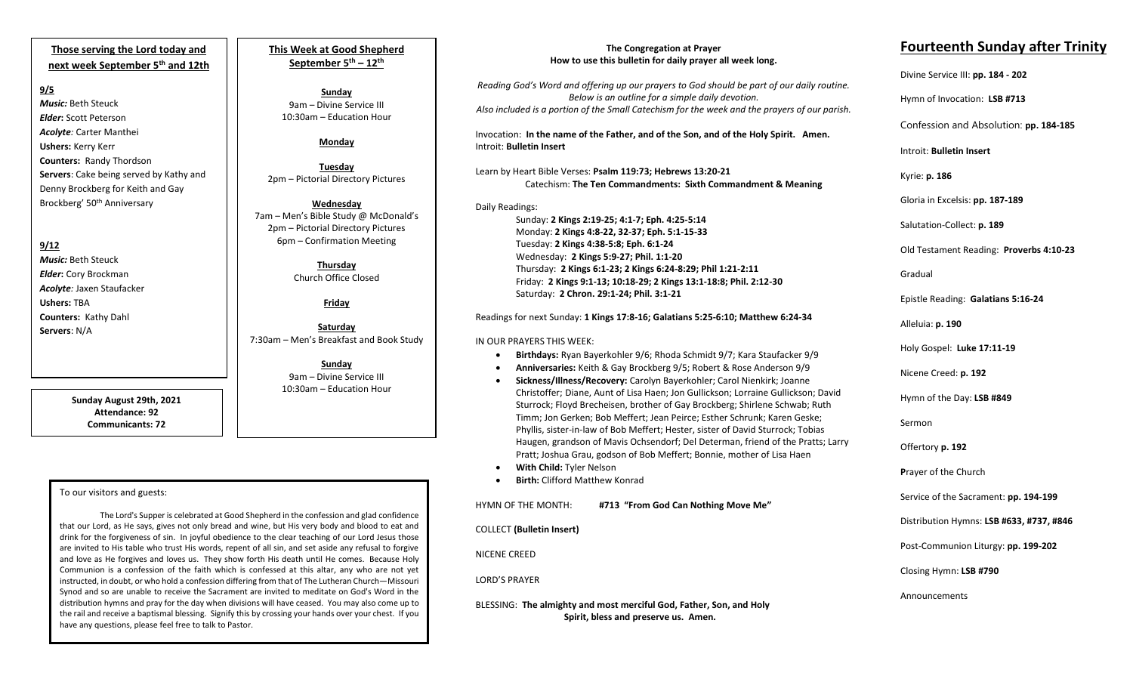# **Those serving the Lord today and next week September 5th and 12th**

#### **9/5**

*Music:* Beth Steuck *Elder***:** Scott Peterson *Acolyte:* Carter Manthei **Ushers:** Kerry Kerr **Counters:** Randy Thordson **Servers**: Cake being served by Kathy and Denny Brockberg for Keith and Gay Brockberg' 50th Anniversary

## **9/12**

*Music:* Beth Steuck *Elder***:** Cory Brockman *Acolyte:* Jaxen Staufacker **Ushers:** TBA **Counters:** Kathy Dahl **Servers**: N/A

> **Sunday August 29th, 2021 Attendance: 92 Communicants: 72**

## To our visitors and guests:

 the rail and receive a baptismal blessing. Signify this by crossing your hands over your chest. If you The Lord's Supper is celebrated at Good Shepherd in the confession and glad confidence that our Lord, as He says, gives not only bread and wine, but His very body and blood to eat and drink for the forgiveness of sin. In joyful obedience to the clear teaching of our Lord Jesus those are invited to His table who trust His words, repent of all sin, and set aside any refusal to forgive and love as He forgives and loves us. They show forth His death until He comes. Because Holy Communion is a confession of the faith which is confessed at this altar, any who are not yet instructed, in doubt, or who hold a confession differing from that of The Lutheran Church—Missouri Synod and so are unable to receive the Sacrament are invited to meditate on God's Word in the distribution hymns and pray for the day when divisions will have ceased. You may also come up to have any questions, please feel free to talk to Pastor.

**This Week at Good Shepherd September 5th – 12th**

**Sunday** 9am – Divine Service III 10:30am – Education Hour

# **Monday**

**Tuesday** 2pm – Pictorial Directory Pictures

**Wednesday** 7am – Men's Bible Study @ McDonald's 2pm – Pictorial Directory Pictures 6pm – Confirmation Meeting

> **Thursday** Church Office Closed

# **Friday**

**Saturday** 7:30am – Men's Breakfast and Book Study

> **Sunday**  9am – Divine Service III 10:30am – Education Hour

#### **The Congregation at Prayer How to use this bulletin for daily prayer all week long.**

*Reading God's Word and offering up our prayers to God should be part of our daily routine. Below is an outline for a simple daily devotion. Also included is a portion of the Small Catechism for the week and the prayers of our parish.*

Invocation: **In the name of the Father, and of the Son, and of the Holy Spirit. Amen.** Introit: **Bulletin Insert**

Learn by Heart Bible Verses: **Psalm 119:73; Hebrews 13:20-21** Catechism: **The Ten Commandments: Sixth Commandment & Meaning**

# Daily Readings:

Sunday: **2 Kings 2:19-25; 4:1-7; Eph. 4:25-5:14** Monday: **2 Kings 4:8-22, 32-37; Eph. 5:1-15-33** Tuesday: **2 Kings 4:38-5:8; Eph. 6:1-24** Wednesday: **2 Kings 5:9-27; Phil. 1:1-20** Thursday: **2 Kings 6:1-23; 2 Kings 6:24-8:29; Phil 1:21-2:11** Friday: **2 Kings 9:1-13; 10:18-29; 2 Kings 13:1-18:8; Phil. 2:12-30** Saturday: **2 Chron. 29:1-24; Phil. 3:1-21**

## Readings for next Sunday: **1 Kings 17:8-16; Galatians 5:25-6:10; Matthew 6:24-34**

#### IN OUR PRAYERS THIS WEEK:

- **Birthdays:** Ryan Bayerkohler 9/6; Rhoda Schmidt 9/7; Kara Staufacker 9/9
- **Anniversaries:** Keith & Gay Brockberg 9/5; Robert & Rose Anderson 9/9
- **Sickness/Illness/Recovery:** Carolyn Bayerkohler; Carol Nienkirk; Joanne Christoffer; Diane, Aunt of Lisa Haen; Jon Gullickson; Lorraine Gullickson; David Sturrock; Floyd Brecheisen, brother of Gay Brockberg; Shirlene Schwab; Ruth Timm; Jon Gerken; Bob Meffert; Jean Peirce; Esther Schrunk; Karen Geske; Phyllis, sister-in-law of Bob Meffert; Hester, sister of David Sturrock; Tobias Haugen, grandson of Mavis Ochsendorf; Del Determan, friend of the Pratts; Larry Pratt; Joshua Grau, godson of Bob Meffert; Bonnie, mother of Lisa Haen
- **With Child:** Tyler Nelson
- **Birth:** Clifford Matthew Konrad

HYMN OF THE MONTH: **#713 "From God Can Nothing Move Me"**

COLLECT **(Bulletin Insert)**

NICENE CREED

LORD'S PRAYER

BLESSING: **The almighty and most merciful God, Father, Son, and Holy Spirit, bless and preserve us. Amen.**

# **Fourteenth Sunday after Trinity**

Divine Service III: **pp. 184 - 202**

Hymn of Invocation: **LSB #713**

Confession and Absolution: **pp. 184-185**

Introit: **Bulletin Insert** 

Kyrie: **p. 186**

Gloria in Excelsis: **pp. 187-189**

Salutation-Collect: **p. 189**

Old Testament Reading: **Proverbs 4:10-23**

Gradual

Epistle Reading: **Galatians 5:16-24**

Alleluia: **p. 190**

Holy Gospel: **Luke 17:11-19**

Nicene Creed: **p. 192**

Hymn of the Day: **LSB #849**

Sermon

Offertory **p. 192**

**P**rayer of the Church

Service of the Sacrament: **pp. 194-199**

Distribution Hymns: **LSB #633, #737, #846**

Post-Communion Liturgy: **pp. 199-202** 

Closing Hymn: **LSB #790**

Announcements